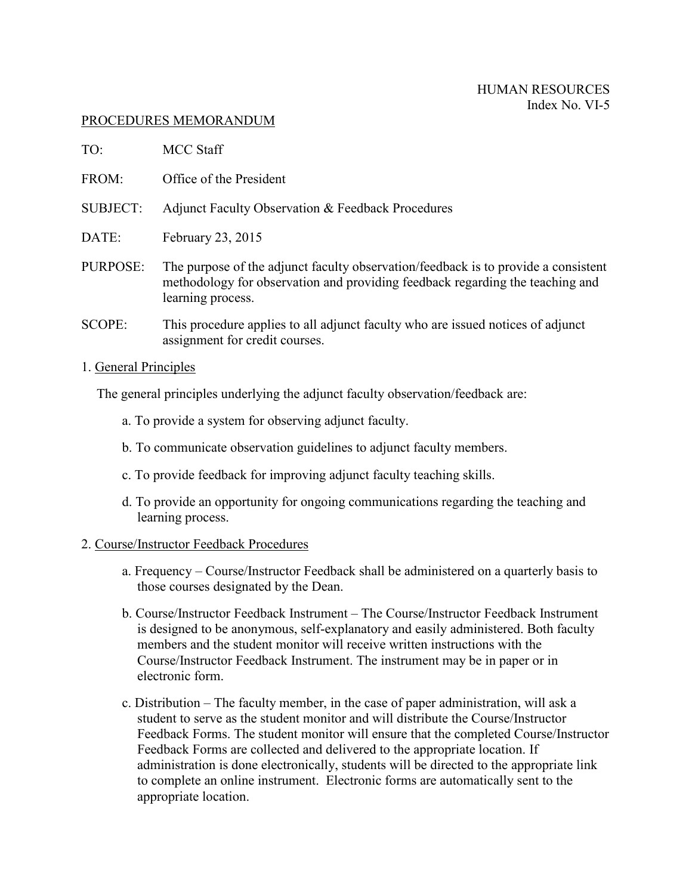## PROCEDURES MEMORANDUM

| TO:                   | <b>MCC Staff</b>                                                                                                                                                                         |
|-----------------------|------------------------------------------------------------------------------------------------------------------------------------------------------------------------------------------|
| FROM:                 | Office of the President                                                                                                                                                                  |
| <b>SUBJECT:</b>       | Adjunct Faculty Observation & Feedback Procedures                                                                                                                                        |
| DATE:                 | February 23, 2015                                                                                                                                                                        |
| PURPOSE:              | The purpose of the adjunct faculty observation/feedback is to provide a consistent<br>methodology for observation and providing feedback regarding the teaching and<br>learning process. |
| <b>SCOPE:</b>         | This procedure applies to all adjunct faculty who are issued notices of adjunct<br>assignment for credit courses.                                                                        |
| 1. General Principles |                                                                                                                                                                                          |

The general principles underlying the adjunct faculty observation/feedback are:

- a. To provide a system for observing adjunct faculty.
- b. To communicate observation guidelines to adjunct faculty members.
- c. To provide feedback for improving adjunct faculty teaching skills.
- d. To provide an opportunity for ongoing communications regarding the teaching and learning process.

## 2. Course/Instructor Feedback Procedures

- a. Frequency Course/Instructor Feedback shall be administered on a quarterly basis to those courses designated by the Dean.
- b. Course/Instructor Feedback Instrument The Course/Instructor Feedback Instrument is designed to be anonymous, self-explanatory and easily administered. Both faculty members and the student monitor will receive written instructions with the Course/Instructor Feedback Instrument. The instrument may be in paper or in electronic form.
- c. Distribution The faculty member, in the case of paper administration, will ask a student to serve as the student monitor and will distribute the Course/Instructor Feedback Forms. The student monitor will ensure that the completed Course/Instructor Feedback Forms are collected and delivered to the appropriate location. If administration is done electronically, students will be directed to the appropriate link to complete an online instrument. Electronic forms are automatically sent to the appropriate location.